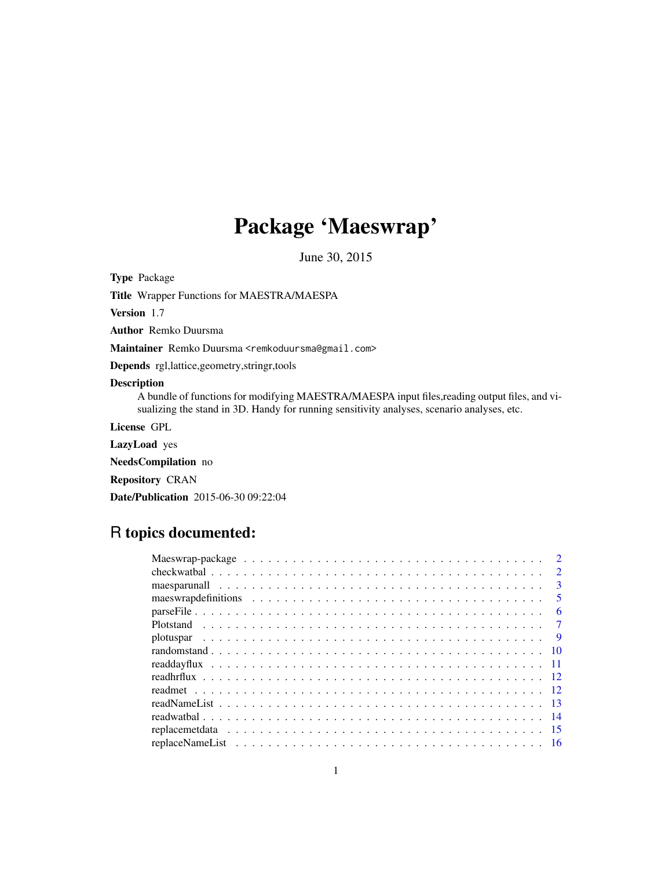## Package 'Maeswrap'

June 30, 2015

<span id="page-0-0"></span>Type Package

Title Wrapper Functions for MAESTRA/MAESPA

Version 1.7

Author Remko Duursma

Maintainer Remko Duursma <remkoduursma@gmail.com>

Depends rgl,lattice,geometry,stringr,tools

#### Description

A bundle of functions for modifying MAESTRA/MAESPA input files,reading output files, and visualizing the stand in 3D. Handy for running sensitivity analyses, scenario analyses, etc.

License GPL

LazyLoad yes

NeedsCompilation no

Repository CRAN

Date/Publication 2015-06-30 09:22:04

### R topics documented:

| $\mathcal{D}$           |
|-------------------------|
| $\mathcal{D}$           |
| $\mathbf{3}$            |
| $\overline{\mathbf{5}}$ |
| 6                       |
|                         |
| $\overline{9}$          |
|                         |
|                         |
|                         |
|                         |
|                         |
|                         |
|                         |
|                         |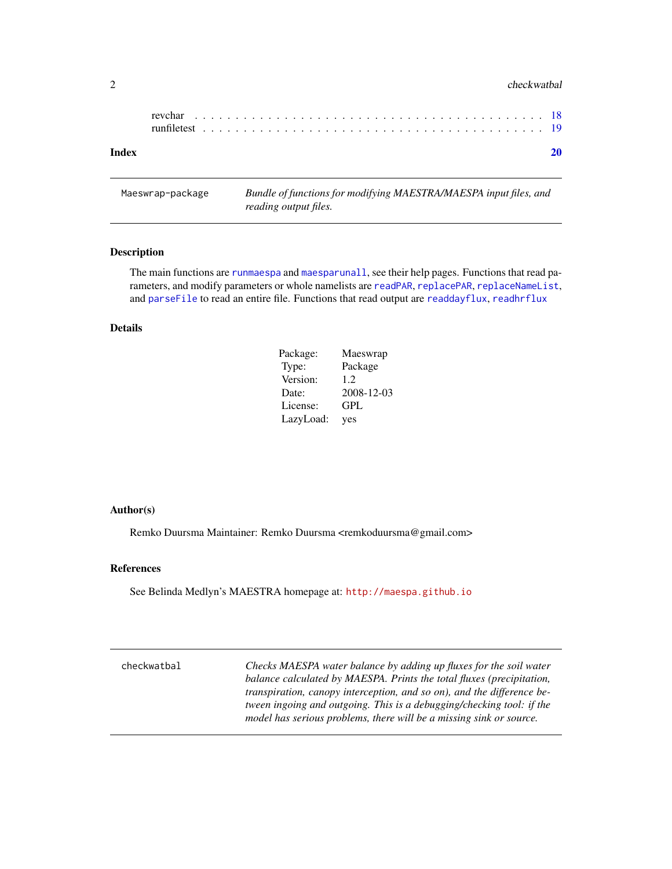#### <span id="page-1-0"></span>2 checkwatbal checkwatbal checkwatbal checkwatbal checkwatbal checkwatbal checkwatbal checkwatbal checkwatbal checkwatbal checkwatbal checkwatbal checkwatbal checkwatbal checkwatbal checkwatbal checkwatbal checkwatbal chec

Maeswrap-package *Bundle of functions for modifying MAESTRA/MAESPA input files, and reading output files.*

#### Description

The main functions are [runmaespa](#page-2-1) and [maesparunall](#page-2-2), see their help pages. Functions that read parameters, and modify parameters or whole namelists are [readPAR](#page-12-1), [replacePAR](#page-15-1), [replaceNameList](#page-15-2), and [parseFile](#page-5-1) to read an entire file. Functions that read output are [readdayflux](#page-10-1), [readhrflux](#page-11-1)

#### Details

| Package:  | Maeswrap   |
|-----------|------------|
| Type:     | Package    |
| Version:  | 1.2.       |
| Date:     | 2008-12-03 |
| License:  | GPL        |
| LazyLoad: | yes        |

#### Author(s)

Remko Duursma Maintainer: Remko Duursma <remkoduursma@gmail.com>

#### References

See Belinda Medlyn's MAESTRA homepage at: <http://maespa.github.io>

| checkwatbal | Checks MAESPA water balance by adding up fluxes for the soil water     |
|-------------|------------------------------------------------------------------------|
|             | balance calculated by MAESPA. Prints the total fluxes (precipitation,  |
|             | transpiration, canopy interception, and so on), and the difference be- |
|             | tween ingoing and outgoing. This is a debugging/checking tool: if the  |
|             | model has serious problems, there will be a missing sink or source.    |
|             |                                                                        |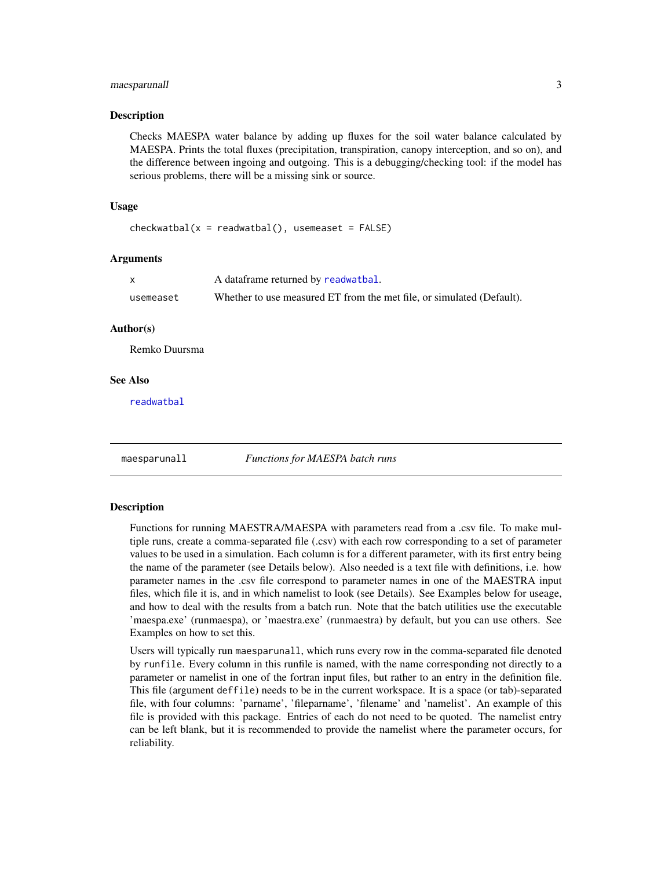#### <span id="page-2-0"></span>maesparunall 3

#### Description

Checks MAESPA water balance by adding up fluxes for the soil water balance calculated by MAESPA. Prints the total fluxes (precipitation, transpiration, canopy interception, and so on), and the difference between ingoing and outgoing. This is a debugging/checking tool: if the model has serious problems, there will be a missing sink or source.

#### Usage

```
checkwatbal(x = readwatbal(), usemeaset = FALSE)
```
#### Arguments

|           | A dataframe returned by readwatbal.                                   |
|-----------|-----------------------------------------------------------------------|
| usemeaset | Whether to use measured ET from the met file, or simulated (Default). |

#### Author(s)

Remko Duursma

#### See Also

[readwatbal](#page-13-1)

<span id="page-2-2"></span>

maesparunall *Functions for MAESPA batch runs*

#### <span id="page-2-1"></span>Description

Functions for running MAESTRA/MAESPA with parameters read from a .csv file. To make multiple runs, create a comma-separated file (.csv) with each row corresponding to a set of parameter values to be used in a simulation. Each column is for a different parameter, with its first entry being the name of the parameter (see Details below). Also needed is a text file with definitions, i.e. how parameter names in the .csv file correspond to parameter names in one of the MAESTRA input files, which file it is, and in which namelist to look (see Details). See Examples below for useage, and how to deal with the results from a batch run. Note that the batch utilities use the executable 'maespa.exe' (runmaespa), or 'maestra.exe' (runmaestra) by default, but you can use others. See Examples on how to set this.

Users will typically run maesparunall, which runs every row in the comma-separated file denoted by runfile. Every column in this runfile is named, with the name corresponding not directly to a parameter or namelist in one of the fortran input files, but rather to an entry in the definition file. This file (argument deffile) needs to be in the current workspace. It is a space (or tab)-separated file, with four columns: 'parname', 'fileparname', 'filename' and 'namelist'. An example of this file is provided with this package. Entries of each do not need to be quoted. The namelist entry can be left blank, but it is recommended to provide the namelist where the parameter occurs, for reliability.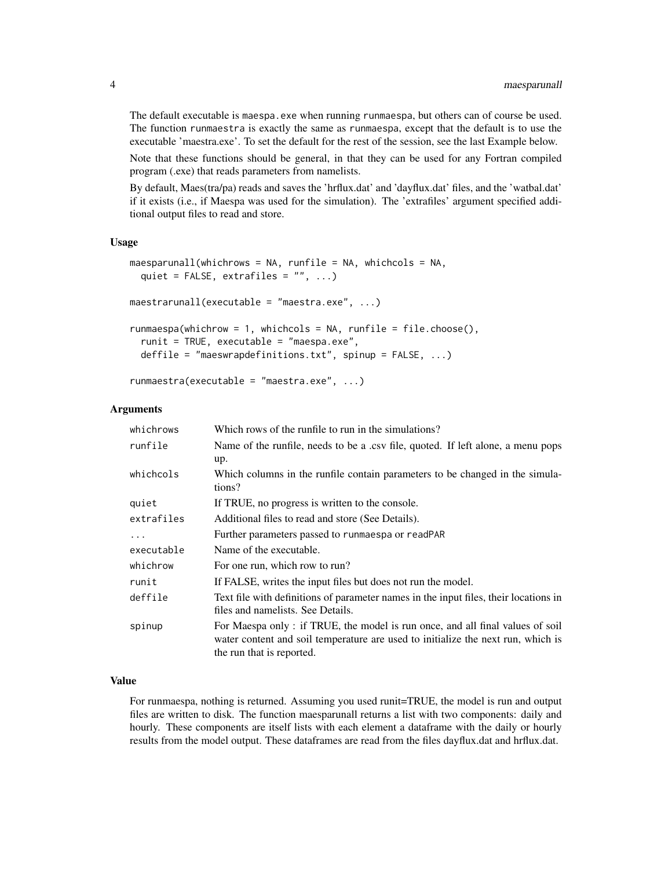The default executable is maespa.exe when running runmaespa, but others can of course be used. The function runmaestra is exactly the same as runmaespa, except that the default is to use the executable 'maestra.exe'. To set the default for the rest of the session, see the last Example below.

Note that these functions should be general, in that they can be used for any Fortran compiled program (.exe) that reads parameters from namelists.

By default, Maes(tra/pa) reads and saves the 'hrflux.dat' and 'dayflux.dat' files, and the 'watbal.dat' if it exists (i.e., if Maespa was used for the simulation). The 'extrafiles' argument specified additional output files to read and store.

#### Usage

```
maesparunall(whichrows = NA, runfile = NA, whichcols = NA,
 quiet = FALSE, extrafiles = ", ...)
maestrarunall(executable = "maestra.exe", ...)
runmaespa(whichrow = 1, whichcols = NA, runfile = file.choose(),
  runit = TRUE, executable = "maespa.exe",
 deffile = "maeswrapdefinitions.txt", spinup = FALSE, ...)
```

```
runmaestra(executable = "maestra.exe", ...)
```
#### Arguments

| whichrows  | Which rows of the runfile to run in the simulations?                                                                                                                                           |
|------------|------------------------------------------------------------------------------------------------------------------------------------------------------------------------------------------------|
| runfile    | Name of the runfile, needs to be a .csv file, quoted. If left alone, a menu pops                                                                                                               |
|            | up.                                                                                                                                                                                            |
| whichcols  | Which columns in the runfile contain parameters to be changed in the simula-<br>tions?                                                                                                         |
| quiet      | If TRUE, no progress is written to the console.                                                                                                                                                |
| extrafiles | Additional files to read and store (See Details).                                                                                                                                              |
| $\ddots$   | Further parameters passed to runmaespa or readPAR                                                                                                                                              |
| executable | Name of the executable.                                                                                                                                                                        |
| whichrow   | For one run, which row to run?                                                                                                                                                                 |
| runit      | If FALSE, writes the input files but does not run the model.                                                                                                                                   |
| deffile    | Text file with definitions of parameter names in the input files, their locations in<br>files and namelists. See Details.                                                                      |
| spinup     | For Maespa only: if TRUE, the model is run once, and all final values of soil<br>water content and soil temperature are used to initialize the next run, which is<br>the run that is reported. |

#### Value

For runmaespa, nothing is returned. Assuming you used runit=TRUE, the model is run and output files are written to disk. The function maesparunall returns a list with two components: daily and hourly. These components are itself lists with each element a dataframe with the daily or hourly results from the model output. These dataframes are read from the files dayflux.dat and hrflux.dat.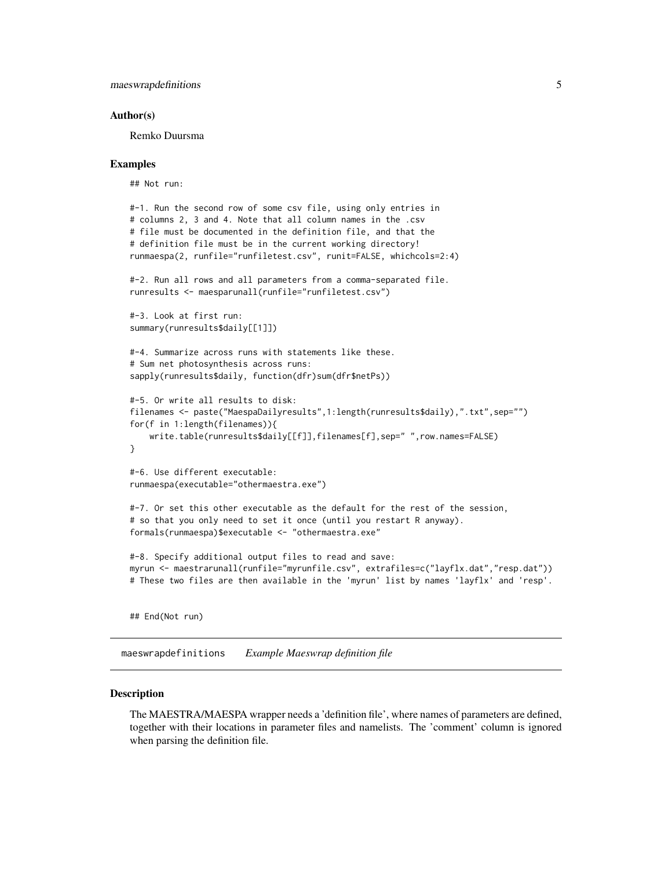#### <span id="page-4-0"></span>Author(s)

Remko Duursma

#### Examples

## Not run:

```
#-1. Run the second row of some csv file, using only entries in
# columns 2, 3 and 4. Note that all column names in the .csv
# file must be documented in the definition file, and that the
# definition file must be in the current working directory!
runmaespa(2, runfile="runfiletest.csv", runit=FALSE, whichcols=2:4)
#-2. Run all rows and all parameters from a comma-separated file.
runresults <- maesparunall(runfile="runfiletest.csv")
#-3. Look at first run:
summary(runresults$daily[[1]])
#-4. Summarize across runs with statements like these.
# Sum net photosynthesis across runs:
sapply(runresults$daily, function(dfr)sum(dfr$netPs))
#-5. Or write all results to disk:
filenames <- paste("MaespaDailyresults",1:length(runresults$daily),".txt",sep="")
for(f in 1:length(filenames)){
    write.table(runresults$daily[[f]],filenames[f],sep=" ",row.names=FALSE)
}
#-6. Use different executable:
runmaespa(executable="othermaestra.exe")
#-7. Or set this other executable as the default for the rest of the session,
# so that you only need to set it once (until you restart R anyway).
formals(runmaespa)$executable <- "othermaestra.exe"
#-8. Specify additional output files to read and save:
myrun <- maestrarunall(runfile="myrunfile.csv", extrafiles=c("layflx.dat","resp.dat"))
# These two files are then available in the 'myrun' list by names 'layflx' and 'resp'.
```
## End(Not run)

maeswrapdefinitions *Example Maeswrap definition file*

#### Description

The MAESTRA/MAESPA wrapper needs a 'definition file', where names of parameters are defined, together with their locations in parameter files and namelists. The 'comment' column is ignored when parsing the definition file.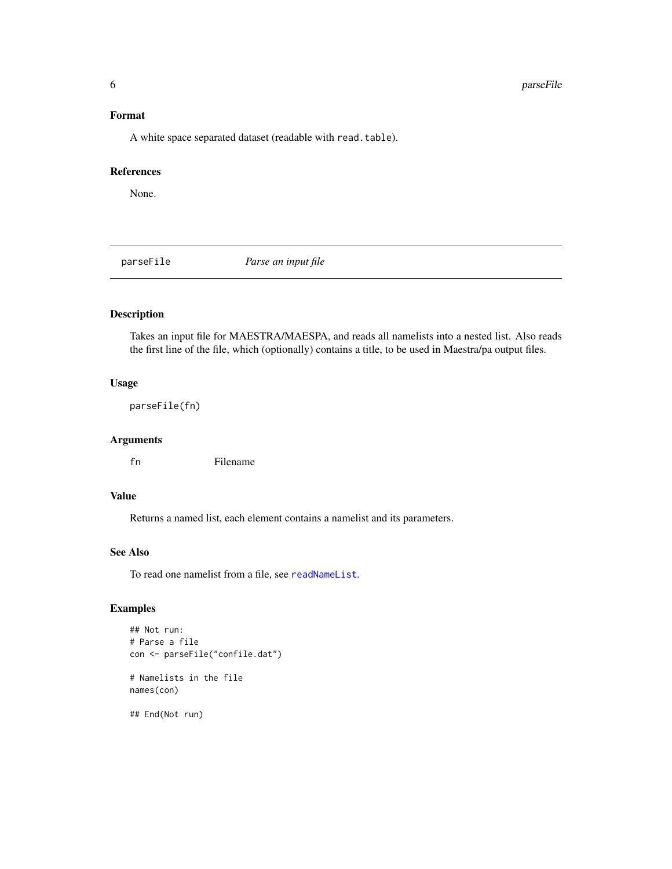#### <span id="page-5-0"></span>Format

A white space separated dataset (readable with read.table).

#### References

None.

<span id="page-5-1"></span>parseFile *Parse an input file*

#### Description

Takes an input file for MAESTRA/MAESPA, and reads all namelists into a nested list. Also reads the first line of the file, which (optionally) contains a title, to be used in Maestra/pa output files.

#### Usage

parseFile(fn)

#### Arguments

fn Filename

#### Value

Returns a named list, each element contains a namelist and its parameters.

#### See Also

To read one namelist from a file, see [readNameList](#page-12-2).

#### Examples

```
## Not run:
# Parse a file
con <- parseFile("confile.dat")
# Namelists in the file
names(con)
## End(Not run)
```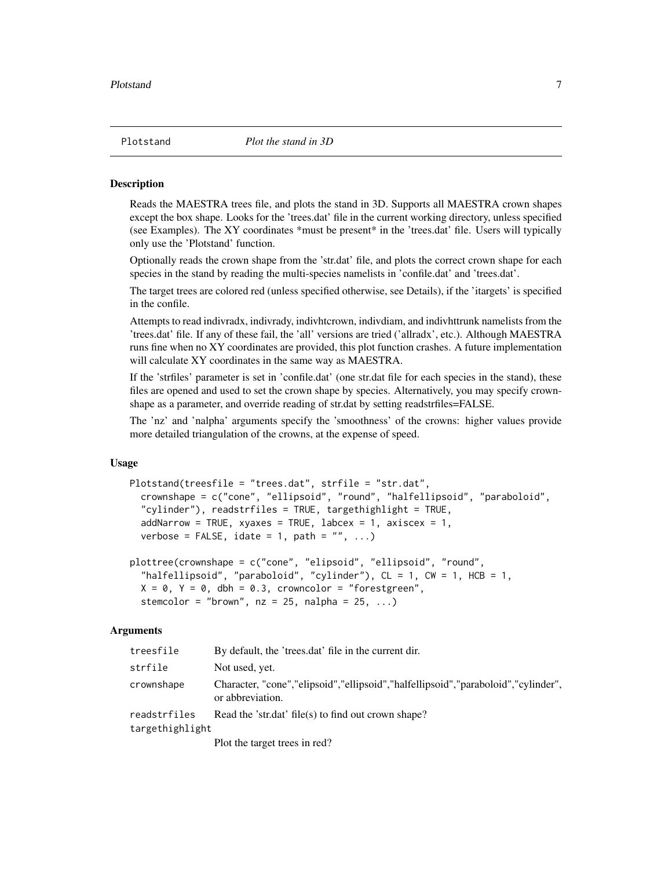<span id="page-6-0"></span>

#### **Description**

Reads the MAESTRA trees file, and plots the stand in 3D. Supports all MAESTRA crown shapes except the box shape. Looks for the 'trees.dat' file in the current working directory, unless specified (see Examples). The XY coordinates \*must be present\* in the 'trees.dat' file. Users will typically only use the 'Plotstand' function.

Optionally reads the crown shape from the 'str.dat' file, and plots the correct crown shape for each species in the stand by reading the multi-species namelists in 'confile.dat' and 'trees.dat'.

The target trees are colored red (unless specified otherwise, see Details), if the 'itargets' is specified in the confile.

Attempts to read indivradx, indivrady, indivhtcrown, indivdiam, and indivhttrunk namelists from the 'trees.dat' file. If any of these fail, the 'all' versions are tried ('allradx', etc.). Although MAESTRA runs fine when no XY coordinates are provided, this plot function crashes. A future implementation will calculate XY coordinates in the same way as MAESTRA.

If the 'strfiles' parameter is set in 'confile.dat' (one str.dat file for each species in the stand), these files are opened and used to set the crown shape by species. Alternatively, you may specify crownshape as a parameter, and override reading of str.dat by setting readstrfiles=FALSE.

The 'nz' and 'nalpha' arguments specify the 'smoothness' of the crowns: higher values provide more detailed triangulation of the crowns, at the expense of speed.

#### Usage

```
Plotstand(treesfile = "trees.dat", strfile = "str.dat",
  crownshape = c("cone", "ellipsoid", "round", "halfellipsoid", "paraboloid",
  "cylinder"), readstrfiles = TRUE, targethighlight = TRUE,
  addNarrow = TRUE, xyaxes = TRUE, labcex = 1, axiscex = 1,
  verbose = FALSE, idate = 1, path = ", ...)
```

```
plottree(crownshape = c("cone", "elipsoid", "ellipsoid", "round",
 "halfellipsoid", "paraboloid", "cylinder"), CL = 1, CW = 1, HCB = 1,
 X = 0, Y = 0, dbh = 0.3, crowncolor = "forestgreen",
 stemcolor = "brown", nz = 25, nalpha = 25, ...)
```
#### Arguments

| treesfile       | By default, the 'trees.dat' file in the current dir.                                                       |
|-----------------|------------------------------------------------------------------------------------------------------------|
| strfile         | Not used, yet.                                                                                             |
| crownshape      | Character, "cone", "elipsoid", "ellipsoid", "halfellipsoid", "paraboloid", "cylinder",<br>or abbreviation. |
| readstrfiles    | Read the 'str.dat' file(s) to find out crown shape?                                                        |
| targethighlight |                                                                                                            |
|                 | Plot the target trees in red?                                                                              |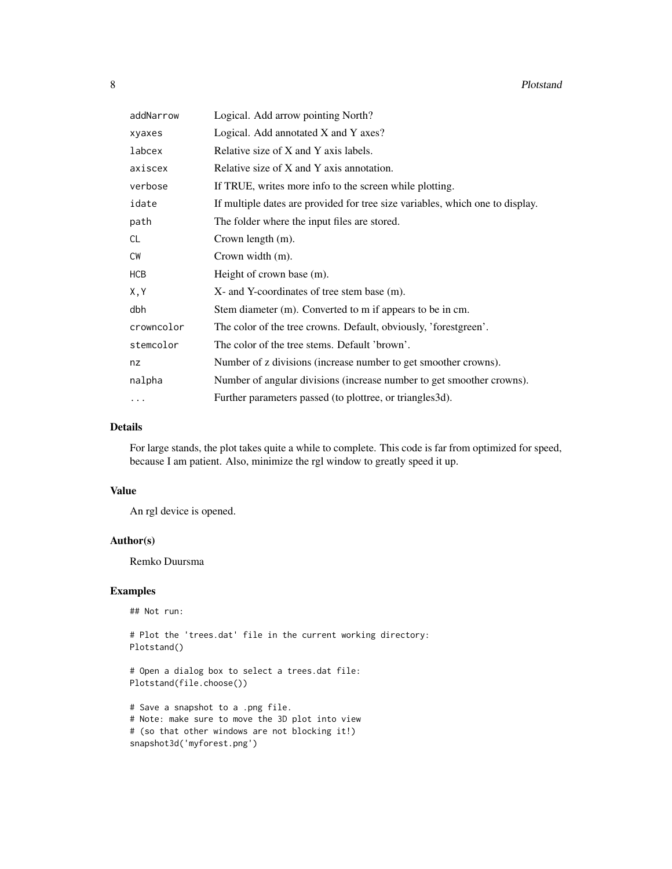| addNarrow  | Logical. Add arrow pointing North?                                            |
|------------|-------------------------------------------------------------------------------|
| xyaxes     | Logical. Add annotated X and Y axes?                                          |
| labcex     | Relative size of X and Y axis labels.                                         |
| axiscex    | Relative size of X and Y axis annotation.                                     |
| verbose    | If TRUE, writes more info to the screen while plotting.                       |
| idate      | If multiple dates are provided for tree size variables, which one to display. |
| path       | The folder where the input files are stored.                                  |
| CL.        | Crown length (m).                                                             |
| <b>CW</b>  | Crown width (m).                                                              |
| HCB        | Height of crown base (m).                                                     |
| X, Y       | X- and Y-coordinates of tree stem base (m).                                   |
| dbh        | Stem diameter (m). Converted to m if appears to be in cm.                     |
| crowncolor | The color of the tree crowns. Default, obviously, 'forestgreen'.              |
| stemcolor  | The color of the tree stems. Default 'brown'.                                 |
| nz         | Number of z divisions (increase number to get smoother crowns).               |
| nalpha     | Number of angular divisions (increase number to get smoother crowns).         |
| $\cdots$   | Further parameters passed (to plottree, or triangles 3d).                     |

#### Details

For large stands, the plot takes quite a while to complete. This code is far from optimized for speed, because I am patient. Also, minimize the rgl window to greatly speed it up.

#### Value

An rgl device is opened.

#### Author(s)

Remko Duursma

#### Examples

## Not run:

# Plot the 'trees.dat' file in the current working directory: Plotstand()

# Open a dialog box to select a trees.dat file: Plotstand(file.choose())

# Save a snapshot to a .png file. # Note: make sure to move the 3D plot into view # (so that other windows are not blocking it!) snapshot3d('myforest.png')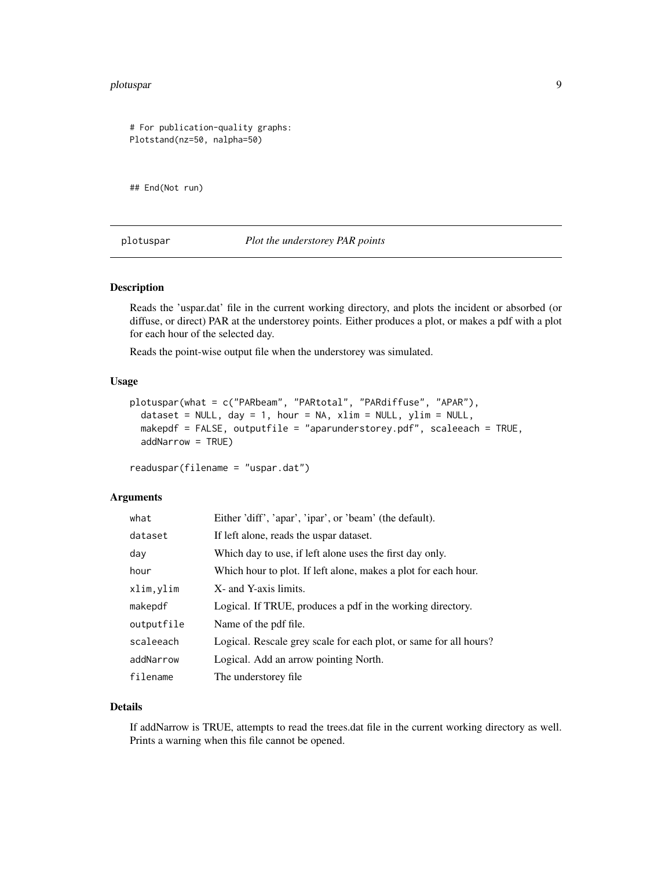#### <span id="page-8-0"></span>plotuspar 9

```
# For publication-quality graphs:
Plotstand(nz=50, nalpha=50)
```
## End(Not run)

plotuspar *Plot the understorey PAR points*

#### Description

Reads the 'uspar.dat' file in the current working directory, and plots the incident or absorbed (or diffuse, or direct) PAR at the understorey points. Either produces a plot, or makes a pdf with a plot for each hour of the selected day.

Reads the point-wise output file when the understorey was simulated.

#### Usage

```
plotuspar(what = c("PARbeam", "PARtotal", "PARdiffuse", "APAR"),
  dataset = NULL, day = 1, hour = NA, xlim = NULL, ylim = NULL,
  makepdf = FALSE, outputfile = "aparunderstorey.pdf", scaleeach = TRUE,
  addNarrow = TRUE)
```
readuspar(filename = "uspar.dat")

#### Arguments

| what       | Either 'diff', 'apar', 'ipar', or 'beam' (the default).           |
|------------|-------------------------------------------------------------------|
| dataset    | If left alone, reads the uspar dataset.                           |
| day        | Which day to use, if left alone uses the first day only.          |
| hour       | Which hour to plot. If left alone, makes a plot for each hour.    |
| xlim, ylim | X- and Y-axis limits.                                             |
| makepdf    | Logical. If TRUE, produces a pdf in the working directory.        |
| outputfile | Name of the pdf file.                                             |
| scaleeach  | Logical. Rescale grey scale for each plot, or same for all hours? |
| addNarrow  | Logical. Add an arrow pointing North.                             |
| filename   | The understorey file.                                             |

#### Details

If addNarrow is TRUE, attempts to read the trees.dat file in the current working directory as well. Prints a warning when this file cannot be opened.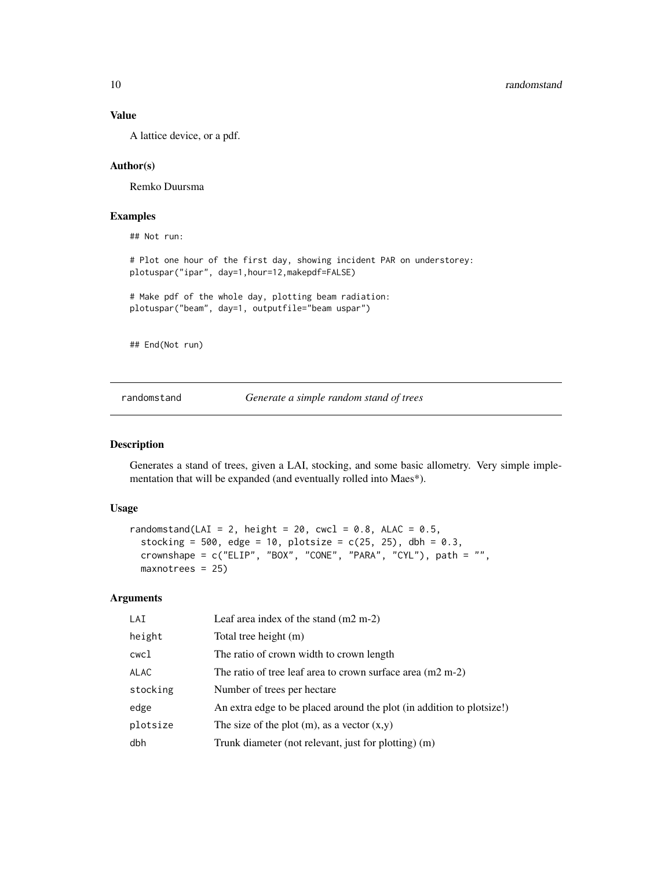#### Value

A lattice device, or a pdf.

#### Author(s)

Remko Duursma

#### Examples

## Not run:

# Plot one hour of the first day, showing incident PAR on understorey: plotuspar("ipar", day=1,hour=12,makepdf=FALSE)

# Make pdf of the whole day, plotting beam radiation: plotuspar("beam", day=1, outputfile="beam uspar")

## End(Not run)

randomstand *Generate a simple random stand of trees*

#### Description

Generates a stand of trees, given a LAI, stocking, and some basic allometry. Very simple implementation that will be expanded (and eventually rolled into Maes\*).

#### Usage

```
randomstand(LAI = 2, height = 20, cwcl = 0.8, ALAC = 0.5,
  stocking = 500, edge = 10, plotsize = c(25, 25), dbh = 0.3,
 crownshape = c("ELIP", "BOX", "CONE", "PARA", "CYL"), path = "",
 maxnotrees = 25
```
#### Arguments

| LAI      | Leaf area index of the stand $(m2 m-2)$                               |
|----------|-----------------------------------------------------------------------|
| height   | Total tree height (m)                                                 |
| cwcl     | The ratio of crown width to crown length                              |
| ALAC     | The ratio of tree leaf area to crown surface area $(m2 m-2)$          |
| stocking | Number of trees per hectare                                           |
| edge     | An extra edge to be placed around the plot (in addition to plot ize!) |
| plotsize | The size of the plot $(m)$ , as a vector $(x,y)$                      |
| dbh      | Trunk diameter (not relevant, just for plotting) (m)                  |

<span id="page-9-0"></span>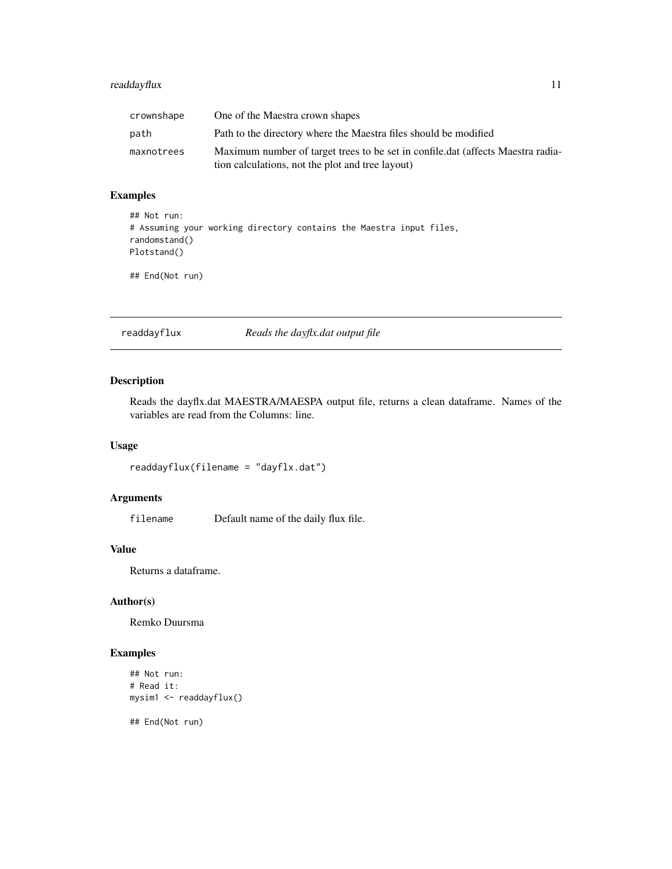#### <span id="page-10-0"></span>readdayflux 11

| crownshape | One of the Maestra crown shapes                                                 |
|------------|---------------------------------------------------------------------------------|
| path       | Path to the directory where the Maestra files should be modified                |
| maxnotrees | Maximum number of target trees to be set in confile.dat (affects Maestra radia- |
|            | tion calculations, not the plot and tree layout)                                |

#### Examples

```
## Not run:
# Assuming your working directory contains the Maestra input files,
randomstand()
Plotstand()
```
## End(Not run)

<span id="page-10-1"></span>readdayflux *Reads the dayflx.dat output file*

#### Description

Reads the dayflx.dat MAESTRA/MAESPA output file, returns a clean dataframe. Names of the variables are read from the Columns: line.

#### Usage

readdayflux(filename = "dayflx.dat")

#### Arguments

filename Default name of the daily flux file.

#### Value

Returns a dataframe.

#### Author(s)

Remko Duursma

#### Examples

```
## Not run:
# Read it:
mysim1 <- readdayflux()
```
## End(Not run)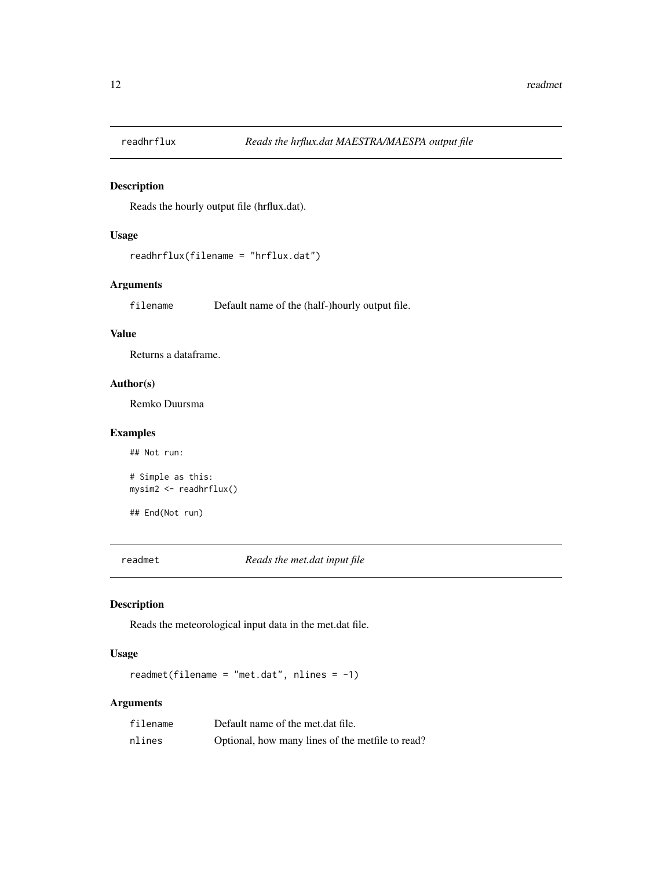<span id="page-11-1"></span><span id="page-11-0"></span>

#### Description

Reads the hourly output file (hrflux.dat).

#### Usage

```
readhrflux(filename = "hrflux.dat")
```
#### Arguments

filename Default name of the (half-)hourly output file.

#### Value

Returns a dataframe.

#### Author(s)

Remko Duursma

#### Examples

## Not run: # Simple as this: mysim2 <- readhrflux()

## End(Not run)

readmet *Reads the met.dat input file*

#### Description

Reads the meteorological input data in the met.dat file.

#### Usage

readmet(filename = "met.dat", nlines = -1)

#### Arguments

| filename | Default name of the met.dat file.                |
|----------|--------------------------------------------------|
| nlines   | Optional, how many lines of the metfile to read? |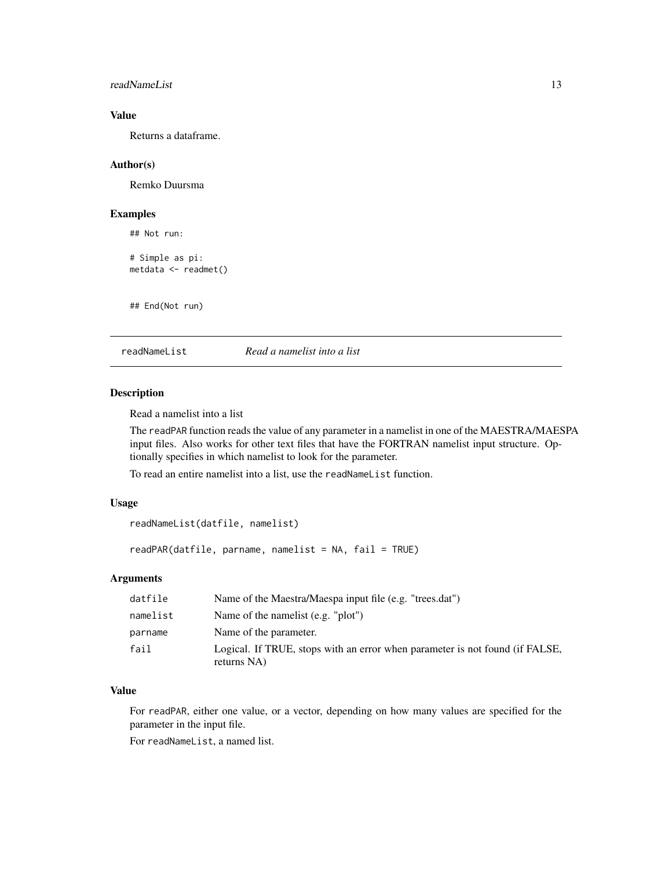#### <span id="page-12-0"></span>readNameList 13

#### Value

Returns a dataframe.

#### Author(s)

Remko Duursma

#### Examples

```
## Not run:
# Simple as pi:
metdata <- readmet()
```
## End(Not run)

<span id="page-12-2"></span>readNameList *Read a namelist into a list*

#### <span id="page-12-1"></span>Description

Read a namelist into a list

The readPAR function reads the value of any parameter in a namelist in one of the MAESTRA/MAESPA input files. Also works for other text files that have the FORTRAN namelist input structure. Optionally specifies in which namelist to look for the parameter.

To read an entire namelist into a list, use the readNameList function.

#### Usage

```
readNameList(datfile, namelist)
```
readPAR(datfile, parname, namelist = NA, fail = TRUE)

#### Arguments

| datfile  | Name of the Maestra/Maespa input file (e.g. "trees.dat")                                    |
|----------|---------------------------------------------------------------------------------------------|
| namelist | Name of the namelist $(e.g. "plot")$                                                        |
| parname  | Name of the parameter.                                                                      |
| fail     | Logical. If TRUE, stops with an error when parameter is not found (if FALSE,<br>returns NA) |

#### Value

For readPAR, either one value, or a vector, depending on how many values are specified for the parameter in the input file.

For readNameList, a named list.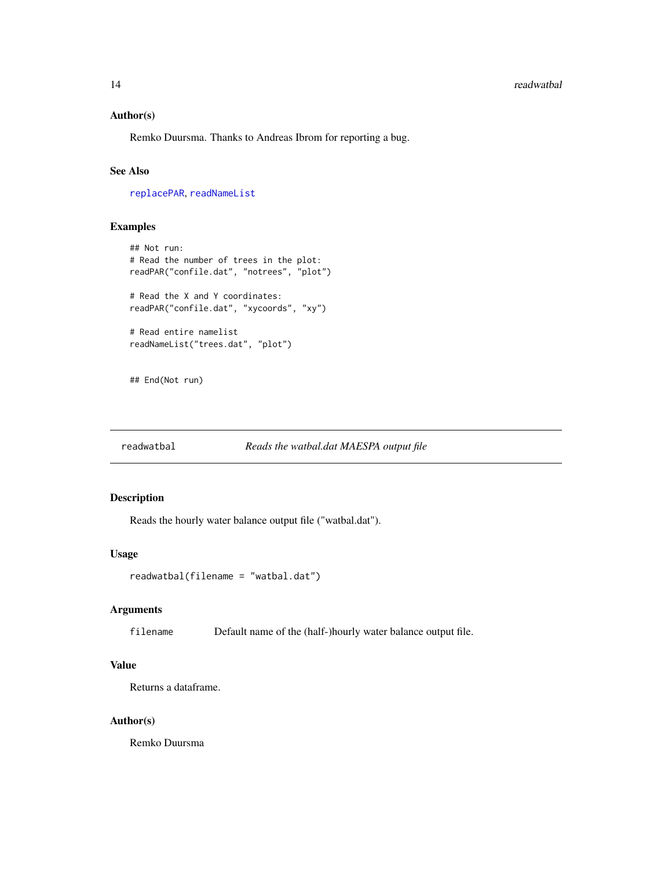#### <span id="page-13-0"></span>14 readwatbal **14** readwatbal **14** readwatbal **14** readwatbal **14** readwatbal **14** readwatbal

#### Author(s)

Remko Duursma. Thanks to Andreas Ibrom for reporting a bug.

#### See Also

[replacePAR](#page-15-1), [readNameList](#page-12-2)

#### Examples

```
## Not run:
# Read the number of trees in the plot:
readPAR("confile.dat", "notrees", "plot")
# Read the X and Y coordinates:
readPAR("confile.dat", "xycoords", "xy")
# Read entire namelist
readNameList("trees.dat", "plot")
```
## End(Not run)

<span id="page-13-1"></span>readwatbal *Reads the watbal.dat MAESPA output file*

### Description

Reads the hourly water balance output file ("watbal.dat").

#### Usage

```
readwatbal(filename = "watbal.dat")
```
#### Arguments

filename Default name of the (half-)hourly water balance output file.

#### Value

Returns a dataframe.

#### Author(s)

Remko Duursma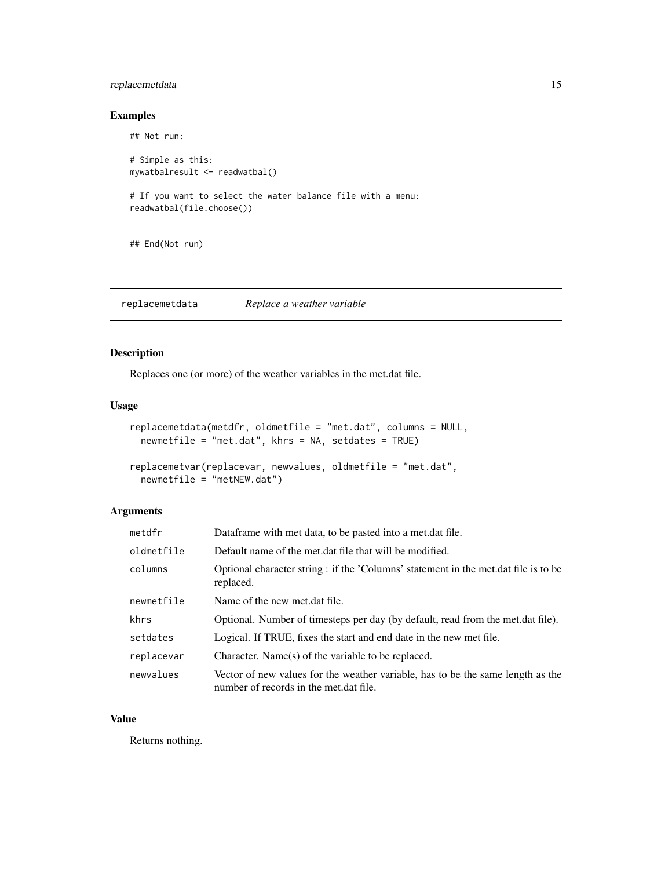#### <span id="page-14-0"></span>replacemetdata 15

#### Examples

```
## Not run:
# Simple as this:
mywatbalresult <- readwatbal()
# If you want to select the water balance file with a menu:
readwatbal(file.choose())
## End(Not run)
```
replacemetdata *Replace a weather variable*

#### Description

Replaces one (or more) of the weather variables in the met.dat file.

#### Usage

```
replacemetdata(metdfr, oldmetfile = "met.dat", columns = NULL,
 newmetfile = "met.dat", khrs = NA, setdates = TRUE)
```

```
replacemetvar(replacevar, newvalues, oldmetfile = "met.dat",
 newmetfile = "metNEW.dat")
```
#### Arguments

| metdfr     | Dataframe with met data, to be pasted into a met dat file.                                                                |
|------------|---------------------------------------------------------------------------------------------------------------------------|
| oldmetfile | Default name of the met.dat file that will be modified.                                                                   |
| columns    | Optional character string : if the 'Columns' statement in the met dat file is to be<br>replaced.                          |
| newmetfile | Name of the new met.dat file.                                                                                             |
| khrs       | Optional. Number of timesteps per day (by default, read from the met.dat file).                                           |
| setdates   | Logical. If TRUE, fixes the start and end date in the new met file.                                                       |
| replacevar | Character. Name(s) of the variable to be replaced.                                                                        |
| newvalues  | Vector of new values for the weather variable, has to be the same length as the<br>number of records in the met.dat file. |

#### Value

Returns nothing.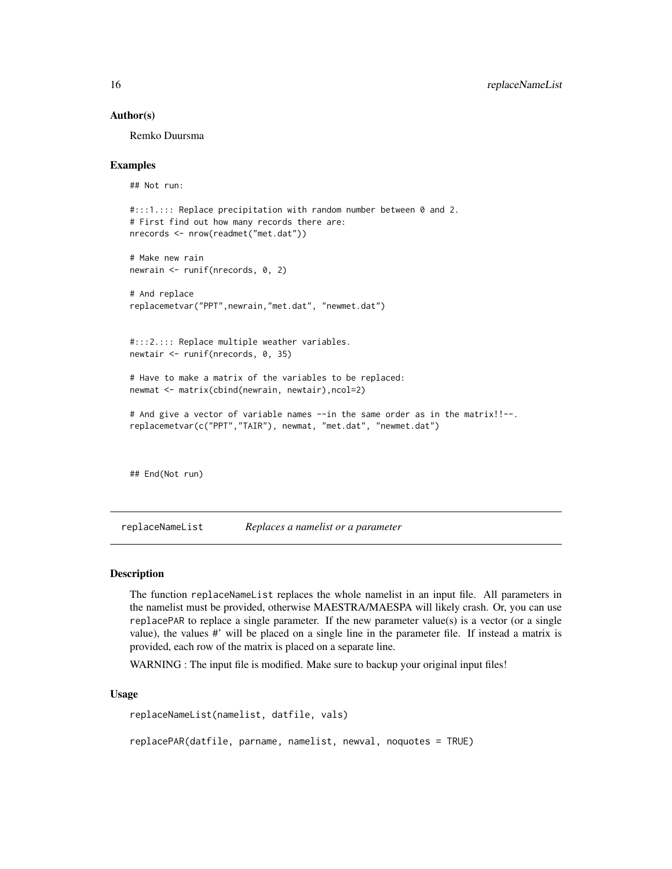#### Author(s)

Remko Duursma

#### Examples

## Not run:

```
#:::1.::: Replace precipitation with random number between 0 and 2.
# First find out how many records there are:
nrecords <- nrow(readmet("met.dat"))
# Make new rain
newrain <- runif(nrecords, 0, 2)
# And replace
replacemetvar("PPT",newrain,"met.dat", "newmet.dat")
#:::2.::: Replace multiple weather variables.
newtair <- runif(nrecords, 0, 35)
# Have to make a matrix of the variables to be replaced:
newmat <- matrix(cbind(newrain, newtair),ncol=2)
# And give a vector of variable names --in the same order as in the matrix!!--.
replacemetvar(c("PPT","TAIR"), newmat, "met.dat", "newmet.dat")
## End(Not run)
```
<span id="page-15-2"></span>replaceNameList *Replaces a namelist or a parameter*

#### <span id="page-15-1"></span>Description

The function replaceNameList replaces the whole namelist in an input file. All parameters in the namelist must be provided, otherwise MAESTRA/MAESPA will likely crash. Or, you can use replacePAR to replace a single parameter. If the new parameter value(s) is a vector (or a single value), the values #' will be placed on a single line in the parameter file. If instead a matrix is provided, each row of the matrix is placed on a separate line.

WARNING : The input file is modified. Make sure to backup your original input files!

#### Usage

replaceNameList(namelist, datfile, vals)

replacePAR(datfile, parname, namelist, newval, noquotes = TRUE)

<span id="page-15-0"></span>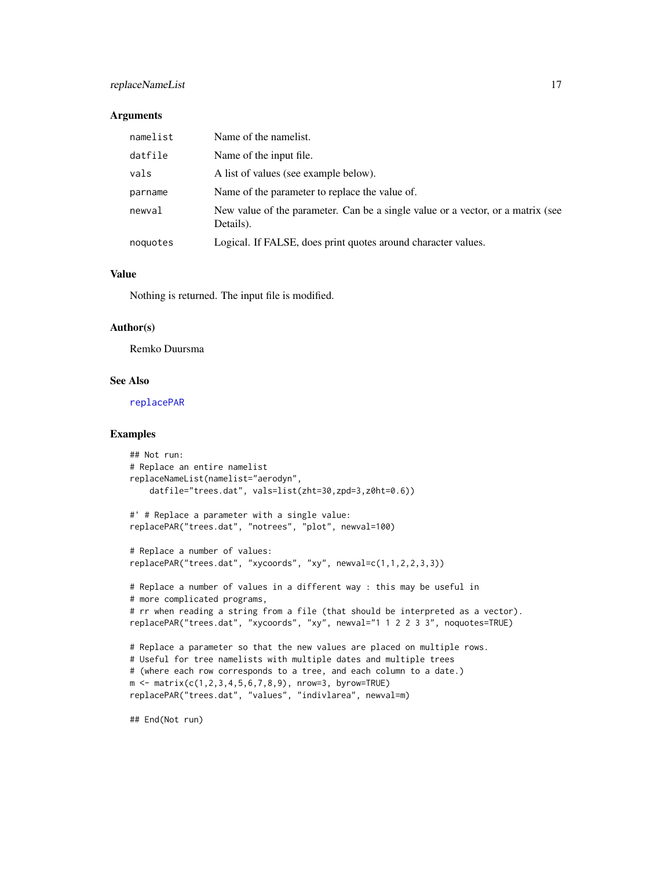#### <span id="page-16-0"></span>replaceNameList 17

#### **Arguments**

| namelist | Name of the namelist.                                                                        |
|----------|----------------------------------------------------------------------------------------------|
| datfile  | Name of the input file.                                                                      |
| vals     | A list of values (see example below).                                                        |
| parname  | Name of the parameter to replace the value of.                                               |
| newval   | New value of the parameter. Can be a single value or a vector, or a matrix (see<br>Details). |
| noquotes | Logical. If FALSE, does print quotes around character values.                                |

#### Value

Nothing is returned. The input file is modified.

#### Author(s)

Remko Duursma

#### See Also

[replacePAR](#page-15-1)

#### Examples

```
## Not run:
# Replace an entire namelist
replaceNameList(namelist="aerodyn",
    datfile="trees.dat", vals=list(zht=30,zpd=3,z0ht=0.6))
#' # Replace a parameter with a single value:
replacePAR("trees.dat", "notrees", "plot", newval=100)
# Replace a number of values:
replacePAR("trees.dat", "xycoords", "xy", newval=c(1,1,2,2,3,3))
# Replace a number of values in a different way : this may be useful in
# more complicated programs,
# rr when reading a string from a file (that should be interpreted as a vector).
replacePAR("trees.dat", "xycoords", "xy", newval="1 1 2 2 3 3", noquotes=TRUE)
# Replace a parameter so that the new values are placed on multiple rows.
# Useful for tree namelists with multiple dates and multiple trees
# (where each row corresponds to a tree, and each column to a date.)
m \le - matrix(c(1,2,3,4,5,6,7,8,9), nrow=3, byrow=TRUE)
replacePAR("trees.dat", "values", "indivlarea", newval=m)
```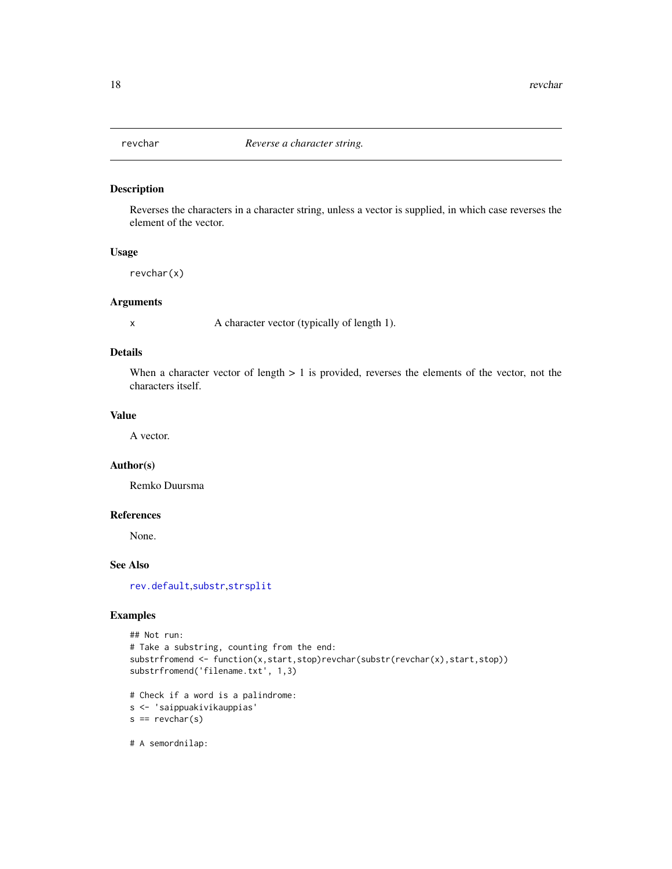<span id="page-17-0"></span>

#### Description

Reverses the characters in a character string, unless a vector is supplied, in which case reverses the element of the vector.

#### Usage

revchar(x)

#### Arguments

x A character vector (typically of length 1).

#### Details

When a character vector of length  $> 1$  is provided, reverses the elements of the vector, not the characters itself.

#### Value

A vector.

#### Author(s)

Remko Duursma

#### References

None.

#### See Also

[rev.default](#page-0-0),[substr](#page-0-0),[strsplit](#page-0-0)

#### Examples

```
## Not run:
# Take a substring, counting from the end:
substrfromend <- function(x,start,stop)revchar(substr(revchar(x),start,stop))
substrfromend('filename.txt', 1,3)
# Check if a word is a palindrome:
s <- 'saippuakivikauppias'
s = revchar(s)
```
# A semordnilap: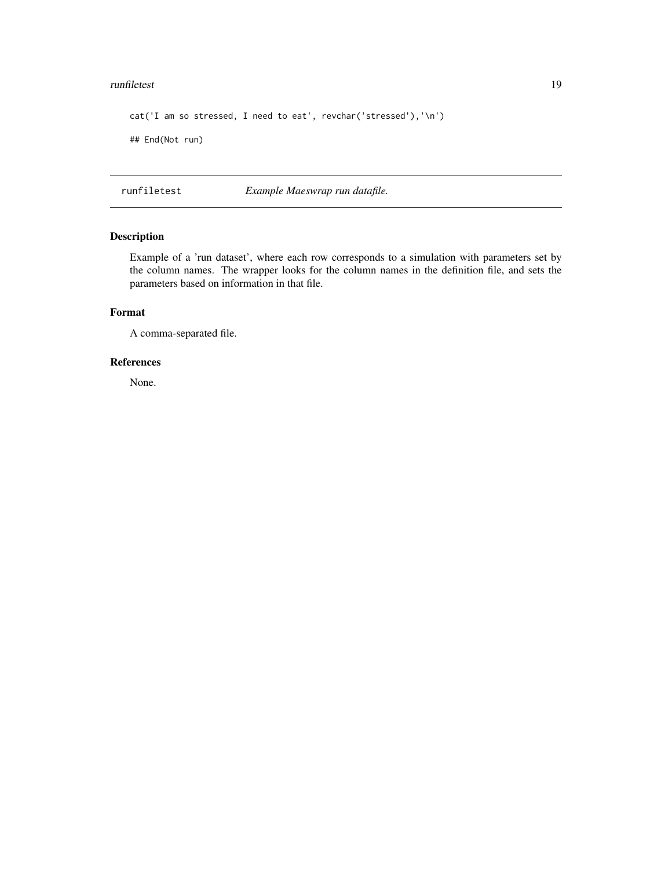#### <span id="page-18-0"></span>runfiletest 19

```
cat('I am so stressed, I need to eat', revchar('stressed'),'\n')
## End(Not run)
```
runfiletest *Example Maeswrap run datafile.*

#### Description

Example of a 'run dataset', where each row corresponds to a simulation with parameters set by the column names. The wrapper looks for the column names in the definition file, and sets the parameters based on information in that file.

#### Format

A comma-separated file.

#### References

None.